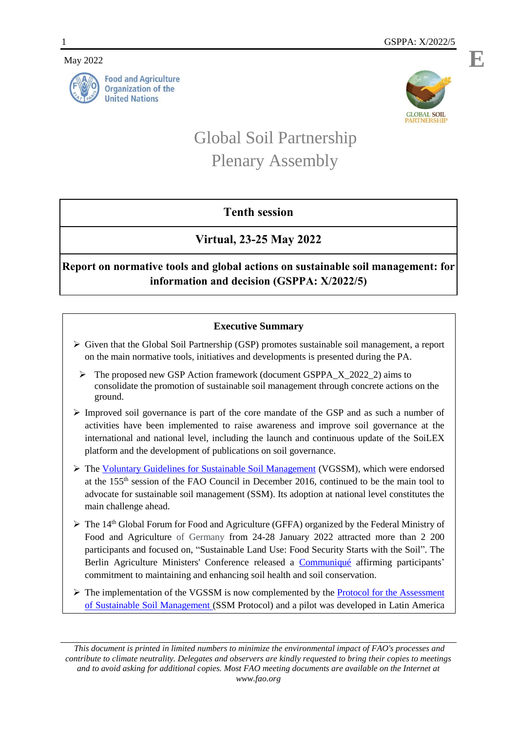#### May 2022





# Global Soil Partnership Plenary Assembly

## **Tenth session**

# **Virtual, 23-25 May 2022**

# **Report on normative tools and global actions on sustainable soil management: for information and decision (GSPPA: X/2022/5)**

## **Executive Summary**

- $\triangleright$  Given that the Global Soil Partnership (GSP) promotes sustainable soil management, a report on the main normative tools, initiatives and developments is presented during the PA.
	- The proposed new GSP Action framework (document GSPPA\_X\_2022\_2) aims to consolidate the promotion of sustainable soil management through concrete actions on the ground.
- $\triangleright$  Improved soil governance is part of the core mandate of the GSP and as such a number of activities have been implemented to raise awareness and improve soil governance at the international and national level, including the launch and continuous update of the SoiLEX platform and the development of publications on soil governance.
- The [Voluntary Guidelines for Sustainable Soil Management](https://www.fao.org/documents/card/en/c/5544358d-f11f-4e9f-90ef-a37c3bf52db7/) (VGSSM), which were endorsed at the 155th session of the FAO Council in December 2016, continued to be the main tool to advocate for sustainable soil management (SSM). Its adoption at national level constitutes the main challenge ahead.
- $\triangleright$  The 14<sup>th</sup> Global Forum for Food and Agriculture (GFFA) organized by the Federal Ministry of Food and Agriculture of Germany from 24-28 January 2022 attracted more than 2 200 participants and focused on, "Sustainable Land Use: Food Security Starts with the Soil". The Berlin Agriculture Ministers' Conference released a [Communiqué](https://www.gffa-berlin.de/wp-content/uploads/2015/10/gffa-2022-kommunique-en.pdf) affirming participants' commitment to maintaining and enhancing soil health and soil conservation.
- $\triangleright$  The implementation of the VGSSM is now complemented by the **Protocol for the Assessment** [of Sustainable Soil Management](http://www.fao.org/fileadmin/user_upload/GSP/SSM/SSM_Protocol_EN_006.pdf) (SSM Protocol) and a pilot was developed in Latin America

*This document is printed in limited numbers to minimize the environmental impact of FAO's processes and contribute to climate neutrality. Delegates and observers are kindly requested to bring their copies to meetings and to avoid asking for additional copies. Most FAO meeting documents are available on the Internet at www.fao.org*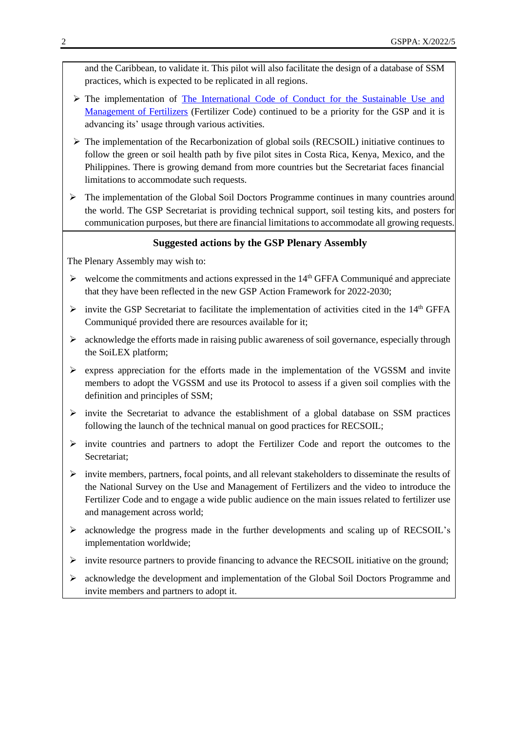and the Caribbean, to validate it. This pilot will also facilitate the design of a database of SSM practices, which is expected to be replicated in all regions.

- The implementation of [The International Code of Conduct for the Sustainable Use and](https://www.fao.org/documents/card/en/c/ca5253en)  [Management of Fertilizers](https://www.fao.org/documents/card/en/c/ca5253en) (Fertilizer Code) continued to be a priority for the GSP and it is advancing its' usage through various activities.
- $\triangleright$  The implementation of the Recarbonization of global soils (RECSOIL) initiative continues to follow the green or soil health path by five pilot sites in Costa Rica, Kenya, Mexico, and the Philippines. There is growing demand from more countries but the Secretariat faces financial limitations to accommodate such requests.
- $\triangleright$  The implementation of the Global Soil Doctors Programme continues in many countries around the world. The GSP Secretariat is providing technical support, soil testing kits, and posters for communication purposes, but there are financial limitations to accommodate all growing requests.

### **Suggested actions by the GSP Plenary Assembly**

The Plenary Assembly may wish to:

- $\triangleright$  welcome the commitments and actions expressed in the 14<sup>th</sup> GFFA Communiqué and appreciate that they have been reflected in the new GSP Action Framework for 2022-2030;
- $\triangleright$  invite the GSP Secretariat to facilitate the implementation of activities cited in the 14<sup>th</sup> GFFA Communiqué provided there are resources available for it;
- $\triangleright$  acknowledge the efforts made in raising public awareness of soil governance, especially through the SoiLEX platform;
- $\triangleright$  express appreciation for the efforts made in the implementation of the VGSSM and invite members to adopt the VGSSM and use its Protocol to assess if a given soil complies with the definition and principles of SSM;
- $\triangleright$  invite the Secretariat to advance the establishment of a global database on SSM practices following the launch of the technical manual on good practices for RECSOIL;
- $\triangleright$  invite countries and partners to adopt the Fertilizer Code and report the outcomes to the Secretariat;
- $\triangleright$  invite members, partners, focal points, and all relevant stakeholders to disseminate the results of the National Survey on the Use and Management of Fertilizers and the video to introduce the Fertilizer Code and to engage a wide public audience on the main issues related to fertilizer use and management across world;
- acknowledge the progress made in the further developments and scaling up of RECSOIL's implementation worldwide;
- $\triangleright$  invite resource partners to provide financing to advance the RECSOIL initiative on the ground;
- $\triangleright$  acknowledge the development and implementation of the Global Soil Doctors Programme and invite members and partners to adopt it.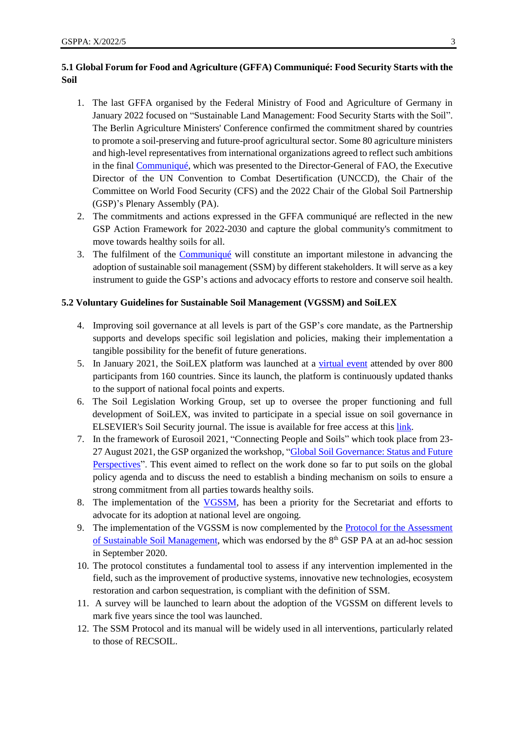## **5.1 Global Forum for Food and Agriculture (GFFA) Communiqué: Food Security Starts with the Soil**

- 1. The last GFFA organised by the Federal Ministry of Food and Agriculture of Germany in January 2022 focused on "Sustainable Land Management: Food Security Starts with the Soil". The Berlin Agriculture Ministers' Conference confirmed the commitment shared by countries to promote a soil-preserving and future-proof agricultural sector. Some 80 agriculture ministers and high-level representatives from international organizations agreed to reflect such ambitions in the final [Communiqué,](https://www.gffa-berlin.de/wp-content/uploads/2015/10/gffa-2022-kommunique-en.pdf) which was presented to the Director-General of FAO, the Executive Director of the UN Convention to Combat Desertification (UNCCD), the Chair of the Committee on World Food Security (CFS) and the 2022 Chair of the Global Soil Partnership (GSP)'s Plenary Assembly (PA).
- 2. The commitments and actions expressed in the GFFA communiqué are reflected in the new GSP Action Framework for 2022-2030 and capture the global community's commitment to move towards healthy soils for all.
- 3. The fulfilment of the [Communiqué](https://www.gffa-berlin.de/wp-content/uploads/2015/10/gffa-2022-kommunique-en.pdf) will constitute an important milestone in advancing the adoption of sustainable soil management (SSM) by different stakeholders. It will serve as a key instrument to guide the GSP's actions and advocacy efforts to restore and conserve soil health.

#### **5.2 Voluntary Guidelines for Sustainable Soil Management (VGSSM) and SoiLEX**

- 4. Improving soil governance at all levels is part of the GSP's core mandate, as the Partnership supports and develops specific soil legislation and policies, making their implementation a tangible possibility for the benefit of future generations.
- 5. In January 2021, the SoiLEX platform was launched at a [virtual event](https://www.fao.org/3/cb3317en/cb3317en.pdf) attended by over 800 participants from 160 countries. Since its launch, the platform is continuously updated thanks to the support of national focal points and experts.
- 6. The Soil Legislation Working Group, set up to oversee the proper functioning and full development of SoiLEX, was invited to participate in a special issue on soil governance in ELSEVIER's Soil Security journal. The issue is available for free access at this [link.](https://www.sciencedirect.com/journal/soil-security/special-issue/10VQ9HFPD6Z)
- 7. In the framework of Eurosoil 2021, "Connecting People and Soils" which took place from 23- 27 August 2021, the GSP organized the workshop, ["Global Soil Governance: Status and Future](https://www.fao.org/global-soil-partnership/resources/events/detail/fr/c/1418297/)  [Perspectives"](https://www.fao.org/global-soil-partnership/resources/events/detail/fr/c/1418297/). This event aimed to reflect on the work done so far to put soils on the global policy agenda and to discuss the need to establish a binding mechanism on soils to ensure a strong commitment from all parties towards healthy soils.
- 8. The implementation of the [VGSSM,](https://www.fao.org/documents/card/en/c/5544358d-f11f-4e9f-90ef-a37c3bf52db7/) has been a priority for the Secretariat and efforts to advocate for its adoption at national level are ongoing.
- 9. The implementation of the VGSSM is now complemented by the [Protocol for the Assessment](http://www.fao.org/fileadmin/user_upload/GSP/SSM/SSM_Protocol_EN_006.pdf)  [of Sustainable Soil Management,](http://www.fao.org/fileadmin/user_upload/GSP/SSM/SSM_Protocol_EN_006.pdf) which was endorsed by the  $8<sup>th</sup> GSP$  PA at an ad-hoc session in September 2020.
- 10. The protocol constitutes a fundamental tool to assess if any intervention implemented in the field, such as the improvement of productive systems, innovative new technologies, ecosystem restoration and carbon sequestration, is compliant with the definition of SSM.
- 11. A survey will be launched to learn about the adoption of the VGSSM on different levels to mark five years since the tool was launched.
- 12. The SSM Protocol and its manual will be widely used in all interventions, particularly related to those of RECSOIL.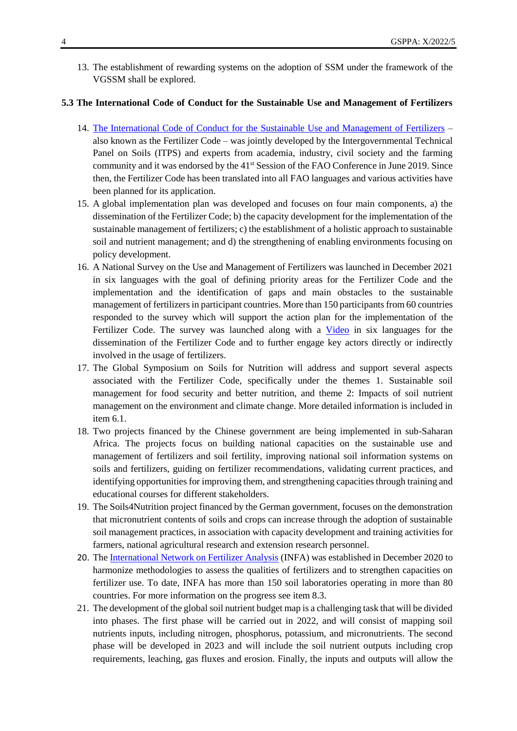13. The establishment of rewarding systems on the adoption of SSM under the framework of the VGSSM shall be explored.

#### **5.3 The International Code of Conduct for the Sustainable Use and Management of Fertilizers**

- 14. [The International Code of Conduct for the Sustainable Use and Management of Fertilizers](https://www.fao.org/documents/card/en/c/ca5253en) also known as the Fertilizer Code – was jointly developed by the Intergovernmental Technical Panel on Soils (ITPS) and experts from academia, industry, civil society and the farming community and it was endorsed by the 41<sup>st</sup> Session of the FAO Conference in June 2019. Since then, the Fertilizer Code has been translated into all FAO languages and various activities have been planned for its application.
- 15. A global implementation plan was developed and focuses on four main components, a) the dissemination of the Fertilizer Code; b) the capacity development for the implementation of the sustainable management of fertilizers; c) the establishment of a holistic approach to sustainable soil and nutrient management; and d) the strengthening of enabling environments focusing on policy development.
- 16. A National Survey on the Use and Management of Fertilizers was launched in December 2021 in six languages with the goal of defining priority areas for the Fertilizer Code and the implementation and the identification of gaps and main obstacles to the sustainable management of fertilizers in participant countries. More than 150 participants from 60 countries responded to the survey which will support the action plan for the implementation of the Fertilizer Code. The survey was launched along with a [Video](https://youtu.be/MlLrme8hYQQ) in six languages for the dissemination of the Fertilizer Code and to further engage key actors directly or indirectly involved in the usage of fertilizers.
- 17. The Global Symposium on Soils for Nutrition will address and support several aspects associated with the Fertilizer Code, specifically under the themes 1. Sustainable soil management for food security and better nutrition, and theme 2: Impacts of soil nutrient management on the environment and climate change. More detailed information is included in item 6.1.
- 18. Two projects financed by the Chinese government are being implemented in sub-Saharan Africa. The projects focus on building national capacities on the sustainable use and management of fertilizers and soil fertility, improving national soil information systems on soils and fertilizers, guiding on fertilizer recommendations, validating current practices, and identifying opportunities for improving them, and strengthening capacities through training and educational courses for different stakeholders.
- 19. The Soils4Nutrition project financed by the German government, focuses on the demonstration that micronutrient contents of soils and crops can increase through the adoption of sustainable soil management practices, in association with capacity development and training activities for farmers, national agricultural research and extension research personnel.
- 20. Th[e International Network on Fertilizer Analysis](https://www.fao.org/global-soil-partnership/infa/en/) (INFA) was established in December 2020 to harmonize methodologies to assess the qualities of fertilizers and to strengthen capacities on fertilizer use. To date, INFA has more than 150 soil laboratories operating in more than 80 countries. For more information on the progress see item 8.3.
- 21. The development of the global soil nutrient budget map is a challenging task that will be divided into phases. The first phase will be carried out in 2022, and will consist of mapping soil nutrients inputs, including nitrogen, phosphorus, potassium, and micronutrients. The second phase will be developed in 2023 and will include the soil nutrient outputs including crop requirements, leaching, gas fluxes and erosion. Finally, the inputs and outputs will allow the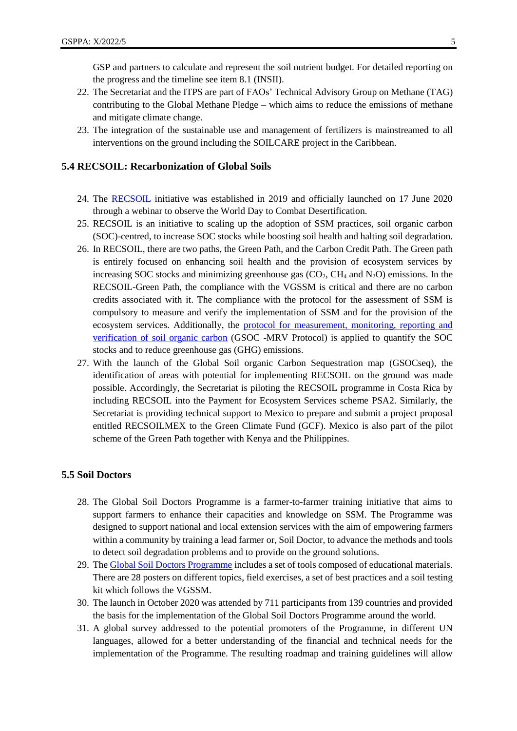GSP and partners to calculate and represent the soil nutrient budget. For detailed reporting on the progress and the timeline see item 8.1 (INSII).

- 22. The Secretariat and the ITPS are part of FAOs' Technical Advisory Group on Methane (TAG) contributing to the Global Methane Pledge – which aims to reduce the emissions of methane and mitigate climate change.
- 23. The integration of the sustainable use and management of fertilizers is mainstreamed to all interventions on the ground including the SOILCARE project in the Caribbean.

### **5.4 RECSOIL: Recarbonization of Global Soils**

- 24. The [RECSOIL](http://www.fao.org/global-soil-partnership/areas-of-work/recarbonization-of-global-soils/en/) initiative was established in 2019 and officially launched on 17 June 2020 through a webinar to observe the World Day to Combat Desertification.
- 25. RECSOIL is an initiative to scaling up the adoption of SSM practices, soil organic carbon (SOC)-centred, to increase SOC stocks while boosting soil health and halting soil degradation.
- 26. In RECSOIL, there are two paths, the Green Path, and the Carbon Credit Path. The Green path is entirely focused on enhancing soil health and the provision of ecosystem services by increasing SOC stocks and minimizing greenhouse gas  $(CO<sub>2</sub>, CH<sub>4</sub>$  and  $N<sub>2</sub>O$ ) emissions. In the RECSOIL-Green Path, the compliance with the VGSSM is critical and there are no carbon credits associated with it. The compliance with the protocol for the assessment of SSM is compulsory to measure and verify the implementation of SSM and for the provision of the ecosystem services. Additionally, the [protocol for measurement, monitoring, reporting and](http://www.fao.org/documents/card/en/c/cb0509en)  [verification of soil organic carbon](http://www.fao.org/documents/card/en/c/cb0509en) (GSOC -MRV Protocol) is applied to quantify the SOC stocks and to reduce greenhouse gas (GHG) emissions.
- 27. With the launch of the Global Soil organic Carbon Sequestration map (GSOCseq), the identification of areas with potential for implementing RECSOIL on the ground was made possible. Accordingly, the Secretariat is piloting the RECSOIL programme in Costa Rica by including RECSOIL into the Payment for Ecosystem Services scheme PSA2. Similarly, the Secretariat is providing technical support to Mexico to prepare and submit a project proposal entitled RECSOILMEX to the Green Climate Fund (GCF). Mexico is also part of the pilot scheme of the Green Path together with Kenya and the Philippines.

#### **5.5 Soil Doctors**

- 28. The Global Soil Doctors Programme is a farmer-to-farmer training initiative that aims to support farmers to enhance their capacities and knowledge on SSM. The Programme was designed to support national and local extension services with the aim of empowering farmers within a community by training a lead farmer or, Soil Doctor, to advance the methods and tools to detect soil degradation problems and to provide on the ground solutions.
- 29. Th[e Global Soil Doctors Programme](http://www.fao.org/global-soil-partnership/pillars-action/2-awareness-raising/soil-doctor/en/) includes a set of tools composed of educational materials. There are 28 posters on different topics, field exercises, a set of best practices and a soil testing kit which follows the VGSSM.
- 30. The launch in October 2020 was attended by 711 participants from 139 countries and provided the basis for the implementation of the Global Soil Doctors Programme around the world.
- 31. A global survey addressed to the potential promoters of the Programme, in different UN languages, allowed for a better understanding of the financial and technical needs for the implementation of the Programme. The resulting roadmap and training guidelines will allow